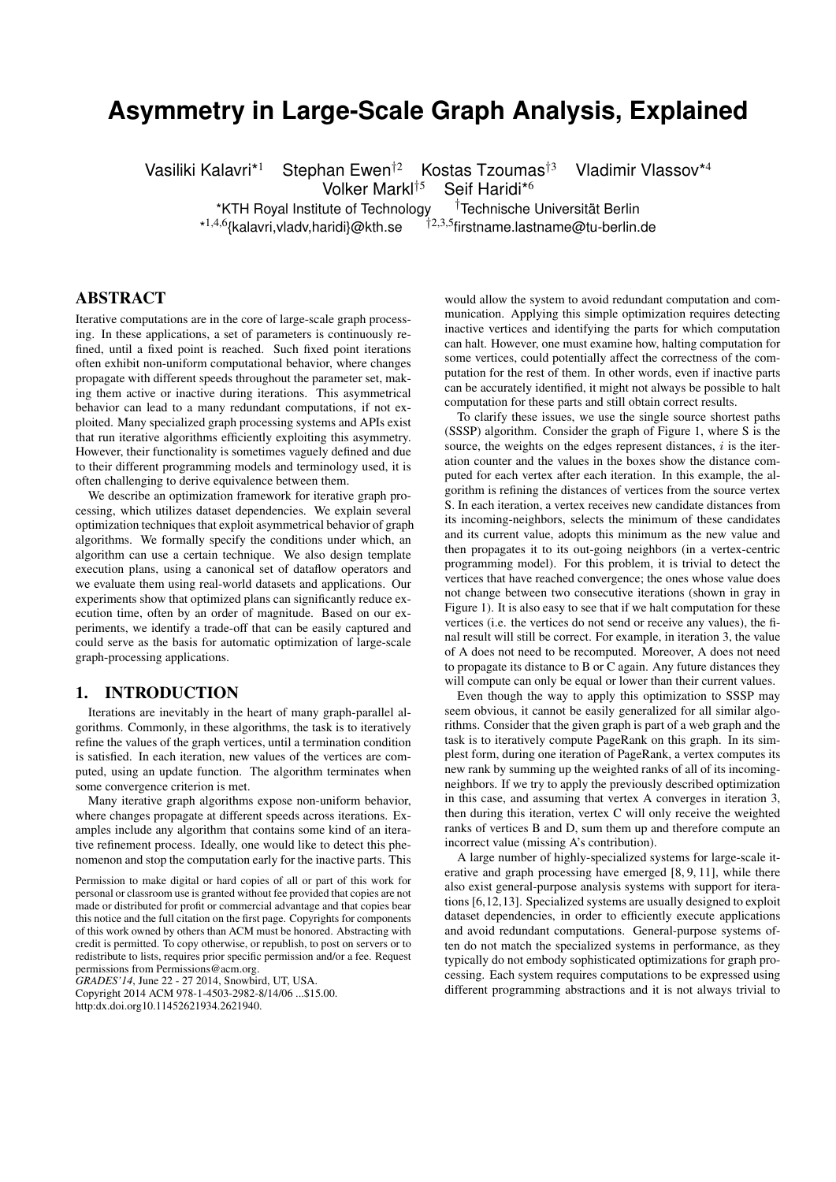# **Asymmetry in Large-Scale Graph Analysis, Explained**

Vasiliki Kalavri\*<sup>1</sup> Stephan Ewen†<sup>2</sup> Kostas Tzoumas†<sup>3</sup> Vladimir Vlassov\*<sup>4</sup>

Volker Markl $\dagger$ 5

\*KTH Royal Institute of Technology <sup>†</sup>Technische Universität Berlin

\*<sup>1,4,6</sup>{kalavri,vladv,haridi}@kth.se

 $\hat{A}^{12,3,5}$ firstname.lastname@tu-berlin.de

ABSTRACT

Iterative computations are in the core of large-scale graph processing. In these applications, a set of parameters is continuously refined, until a fixed point is reached. Such fixed point iterations often exhibit non-uniform computational behavior, where changes propagate with different speeds throughout the parameter set, making them active or inactive during iterations. This asymmetrical behavior can lead to a many redundant computations, if not exploited. Many specialized graph processing systems and APIs exist that run iterative algorithms efficiently exploiting this asymmetry. However, their functionality is sometimes vaguely defined and due to their different programming models and terminology used, it is often challenging to derive equivalence between them.

We describe an optimization framework for iterative graph processing, which utilizes dataset dependencies. We explain several optimization techniques that exploit asymmetrical behavior of graph algorithms. We formally specify the conditions under which, an algorithm can use a certain technique. We also design template execution plans, using a canonical set of dataflow operators and we evaluate them using real-world datasets and applications. Our experiments show that optimized plans can significantly reduce execution time, often by an order of magnitude. Based on our experiments, we identify a trade-off that can be easily captured and could serve as the basis for automatic optimization of large-scale graph-processing applications.

# 1. INTRODUCTION

Iterations are inevitably in the heart of many graph-parallel algorithms. Commonly, in these algorithms, the task is to iteratively refine the values of the graph vertices, until a termination condition is satisfied. In each iteration, new values of the vertices are computed, using an update function. The algorithm terminates when some convergence criterion is met.

Many iterative graph algorithms expose non-uniform behavior, where changes propagate at different speeds across iterations. Examples include any algorithm that contains some kind of an iterative refinement process. Ideally, one would like to detect this phenomenon and stop the computation early for the inactive parts. This

Permission to make digital or hard copies of all or part of this work for personal or classroom use is granted without fee provided that copies are not made or distributed for profit or commercial advantage and that copies bear this notice and the full citation on the first page. Copyrights for components of this work owned by others than ACM must be honored. Abstracting with credit is permitted. To copy otherwise, or republish, to post on servers or to redistribute to lists, requires prior specific permission and/or a fee. Request permissions from Permissions@acm.org.

*GRADES'14*, June 22 - 27 2014, Snowbird, UT, USA.

Copyright 2014 ACM 978-1-4503-2982-8/14/06 ...\$15.00. http:dx.doi.org10.11452621934.2621940.

would allow the system to avoid redundant computation and communication. Applying this simple optimization requires detecting inactive vertices and identifying the parts for which computation can halt. However, one must examine how, halting computation for some vertices, could potentially affect the correctness of the computation for the rest of them. In other words, even if inactive parts can be accurately identified, it might not always be possible to halt computation for these parts and still obtain correct results.

To clarify these issues, we use the single source shortest paths (SSSP) algorithm. Consider the graph of Figure 1, where S is the source, the weights on the edges represent distances,  $i$  is the iteration counter and the values in the boxes show the distance computed for each vertex after each iteration. In this example, the algorithm is refining the distances of vertices from the source vertex S. In each iteration, a vertex receives new candidate distances from its incoming-neighbors, selects the minimum of these candidates and its current value, adopts this minimum as the new value and then propagates it to its out-going neighbors (in a vertex-centric programming model). For this problem, it is trivial to detect the vertices that have reached convergence; the ones whose value does not change between two consecutive iterations (shown in gray in Figure 1). It is also easy to see that if we halt computation for these vertices (i.e. the vertices do not send or receive any values), the final result will still be correct. For example, in iteration 3, the value of A does not need to be recomputed. Moreover, A does not need to propagate its distance to B or C again. Any future distances they will compute can only be equal or lower than their current values.

Even though the way to apply this optimization to SSSP may seem obvious, it cannot be easily generalized for all similar algorithms. Consider that the given graph is part of a web graph and the task is to iteratively compute PageRank on this graph. In its simplest form, during one iteration of PageRank, a vertex computes its new rank by summing up the weighted ranks of all of its incomingneighbors. If we try to apply the previously described optimization in this case, and assuming that vertex A converges in iteration 3, then during this iteration, vertex C will only receive the weighted ranks of vertices B and D, sum them up and therefore compute an incorrect value (missing A's contribution).

A large number of highly-specialized systems for large-scale iterative and graph processing have emerged [8, 9, 11], while there also exist general-purpose analysis systems with support for iterations [6,12,13]. Specialized systems are usually designed to exploit dataset dependencies, in order to efficiently execute applications and avoid redundant computations. General-purpose systems often do not match the specialized systems in performance, as they typically do not embody sophisticated optimizations for graph processing. Each system requires computations to be expressed using different programming abstractions and it is not always trivial to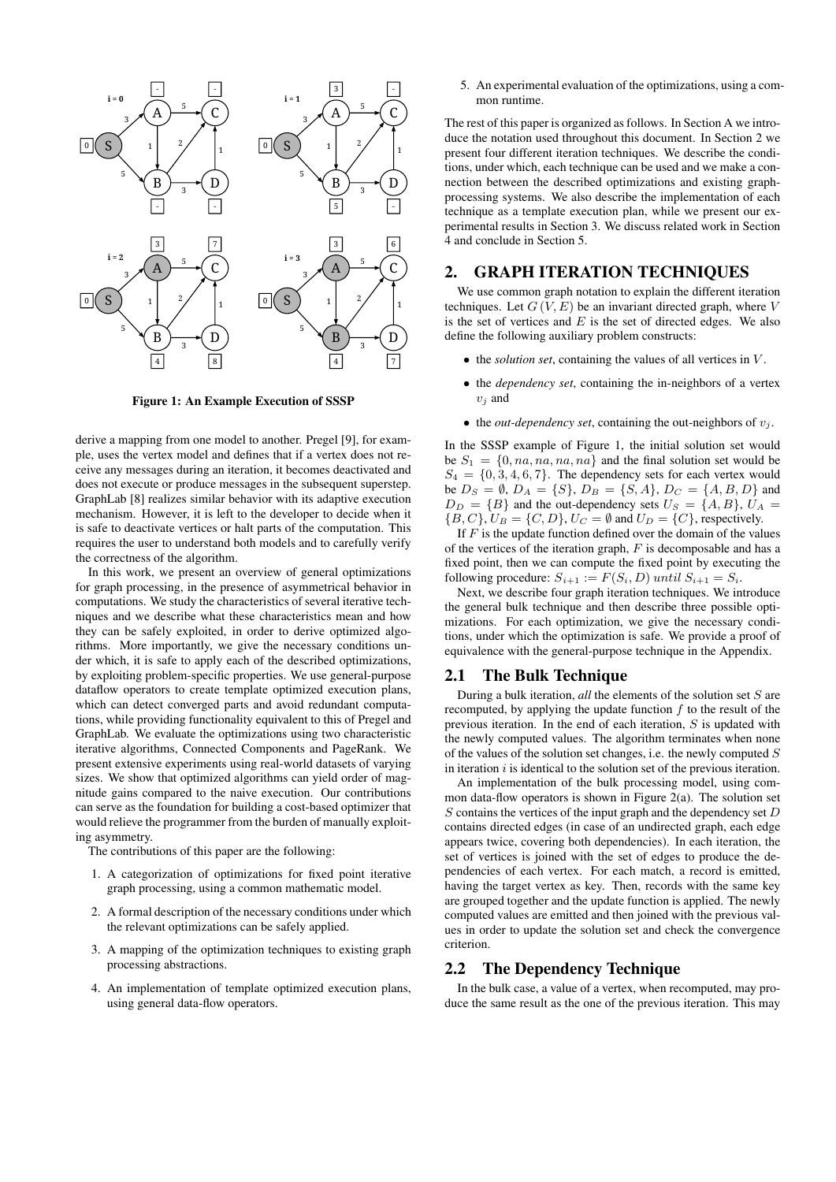

Figure 1: An Example Execution of SSSP

derive a mapping from one model to another. Pregel [9], for example, uses the vertex model and defines that if a vertex does not receive any messages during an iteration, it becomes deactivated and does not execute or produce messages in the subsequent superstep. GraphLab [8] realizes similar behavior with its adaptive execution mechanism. However, it is left to the developer to decide when it is safe to deactivate vertices or halt parts of the computation. This requires the user to understand both models and to carefully verify the correctness of the algorithm.

In this work, we present an overview of general optimizations for graph processing, in the presence of asymmetrical behavior in computations. We study the characteristics of several iterative techniques and we describe what these characteristics mean and how they can be safely exploited, in order to derive optimized algorithms. More importantly, we give the necessary conditions under which, it is safe to apply each of the described optimizations, by exploiting problem-specific properties. We use general-purpose dataflow operators to create template optimized execution plans, which can detect converged parts and avoid redundant computations, while providing functionality equivalent to this of Pregel and GraphLab. We evaluate the optimizations using two characteristic iterative algorithms, Connected Components and PageRank. We present extensive experiments using real-world datasets of varying sizes. We show that optimized algorithms can yield order of magnitude gains compared to the naive execution. Our contributions can serve as the foundation for building a cost-based optimizer that would relieve the programmer from the burden of manually exploiting asymmetry.

The contributions of this paper are the following:

- 1. A categorization of optimizations for fixed point iterative graph processing, using a common mathematic model.
- 2. A formal description of the necessary conditions under which the relevant optimizations can be safely applied.
- 3. A mapping of the optimization techniques to existing graph processing abstractions.
- 4. An implementation of template optimized execution plans, using general data-flow operators.

5. An experimental evaluation of the optimizations, using a common runtime.

The rest of this paper is organized as follows. In Section A we introduce the notation used throughout this document. In Section 2 we present four different iteration techniques. We describe the conditions, under which, each technique can be used and we make a connection between the described optimizations and existing graphprocessing systems. We also describe the implementation of each technique as a template execution plan, while we present our experimental results in Section 3. We discuss related work in Section 4 and conclude in Section 5.

# 2. GRAPH ITERATION TECHNIQUES

We use common graph notation to explain the different iteration techniques. Let  $G(V, E)$  be an invariant directed graph, where V is the set of vertices and  $E$  is the set of directed edges. We also define the following auxiliary problem constructs:

- the *solution set*, containing the values of all vertices in V .
- the *dependency set*, containing the in-neighbors of a vertex  $v_i$  and
- $\bullet$  the *out-dependency set*, containing the out-neighbors of  $v_i$ .

In the SSSP example of Figure 1, the initial solution set would be  $S_1 = \{0, na, na, na\}$  and the final solution set would be  $S_4 = \{0, 3, 4, 6, 7\}$ . The dependency sets for each vertex would be  $D_S = \emptyset$ ,  $D_A = \{S\}$ ,  $D_B = \{S, A\}$ ,  $D_C = \{A, B, D\}$  and  $D_D = \{B\}$  and the out-dependency sets  $U_S = \{A, B\}$ ,  $U_A =$  ${B, C}, U_B = {C, D}, U_C = \emptyset$  and  $U_D = {C},$  respectively.

If  $F$  is the update function defined over the domain of the values of the vertices of the iteration graph,  $F$  is decomposable and has a fixed point, then we can compute the fixed point by executing the following procedure:  $S_{i+1} := F(S_i, D)$  until  $S_{i+1} = S_i$ .

Next, we describe four graph iteration techniques. We introduce the general bulk technique and then describe three possible optimizations. For each optimization, we give the necessary conditions, under which the optimization is safe. We provide a proof of equivalence with the general-purpose technique in the Appendix.

#### 2.1 The Bulk Technique

During a bulk iteration, *all* the elements of the solution set S are recomputed, by applying the update function  $f$  to the result of the previous iteration. In the end of each iteration,  $S$  is updated with the newly computed values. The algorithm terminates when none of the values of the solution set changes, i.e. the newly computed  $S$ in iteration  $i$  is identical to the solution set of the previous iteration.

An implementation of the bulk processing model, using common data-flow operators is shown in Figure 2(a). The solution set  $S$  contains the vertices of the input graph and the dependency set  $D$ contains directed edges (in case of an undirected graph, each edge appears twice, covering both dependencies). In each iteration, the set of vertices is joined with the set of edges to produce the dependencies of each vertex. For each match, a record is emitted, having the target vertex as key. Then, records with the same key are grouped together and the update function is applied. The newly computed values are emitted and then joined with the previous values in order to update the solution set and check the convergence criterion.

## 2.2 The Dependency Technique

In the bulk case, a value of a vertex, when recomputed, may produce the same result as the one of the previous iteration. This may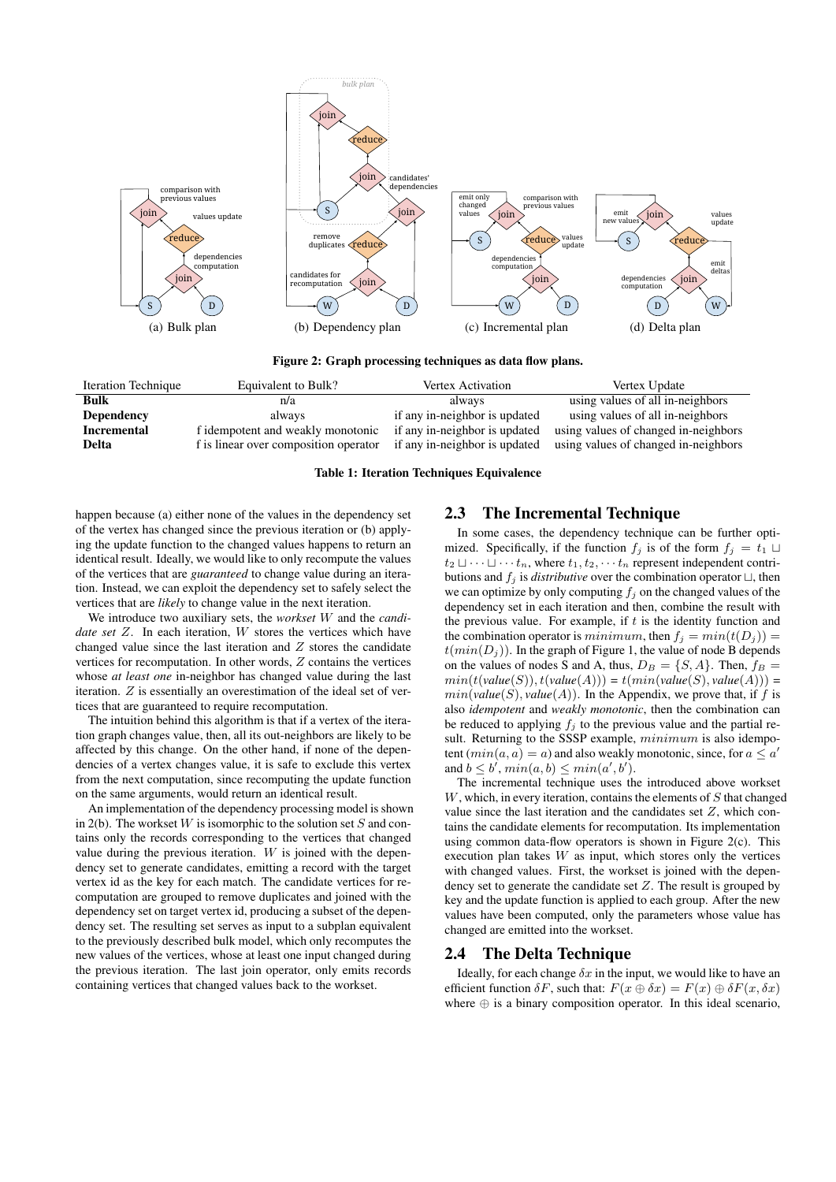

Figure 2: Graph processing techniques as data flow plans.

| <b>Iteration Technique</b> | Equivalent to Bulk?                   | Vertex Activation             | Vertex Update                        |
|----------------------------|---------------------------------------|-------------------------------|--------------------------------------|
| Bulk                       | n/a                                   | always                        | using values of all in-neighbors     |
| <b>Dependency</b>          | always                                | if any in-neighbor is updated | using values of all in-neighbors     |
| <b>Incremental</b>         | f idempotent and weakly monotonic     | if any in-neighbor is updated | using values of changed in-neighbors |
| Delta                      | f is linear over composition operator | if any in-neighbor is updated | using values of changed in-neighbors |

Table 1: Iteration Techniques Equivalence

happen because (a) either none of the values in the dependency set of the vertex has changed since the previous iteration or (b) applying the update function to the changed values happens to return an identical result. Ideally, we would like to only recompute the values of the vertices that are *guaranteed* to change value during an iteration. Instead, we can exploit the dependency set to safely select the vertices that are *likely* to change value in the next iteration.

We introduce two auxiliary sets, the *workset* W and the *candidate set* Z. In each iteration, W stores the vertices which have changed value since the last iteration and  $Z$  stores the candidate vertices for recomputation. In other words, Z contains the vertices whose *at least one* in-neighbor has changed value during the last iteration. Z is essentially an overestimation of the ideal set of vertices that are guaranteed to require recomputation.

The intuition behind this algorithm is that if a vertex of the iteration graph changes value, then, all its out-neighbors are likely to be affected by this change. On the other hand, if none of the dependencies of a vertex changes value, it is safe to exclude this vertex from the next computation, since recomputing the update function on the same arguments, would return an identical result.

An implementation of the dependency processing model is shown in 2(b). The workset W is isomorphic to the solution set S and contains only the records corresponding to the vertices that changed value during the previous iteration.  $W$  is joined with the dependency set to generate candidates, emitting a record with the target vertex id as the key for each match. The candidate vertices for recomputation are grouped to remove duplicates and joined with the dependency set on target vertex id, producing a subset of the dependency set. The resulting set serves as input to a subplan equivalent to the previously described bulk model, which only recomputes the new values of the vertices, whose at least one input changed during the previous iteration. The last join operator, only emits records containing vertices that changed values back to the workset.

## 2.3 The Incremental Technique

In some cases, the dependency technique can be further optimized. Specifically, if the function  $f_i$  is of the form  $f_i = t_1 \sqcup$  $t_2 \sqcup \cdots \sqcup \cdots t_n$ , where  $t_1, t_2, \cdots t_n$  represent independent contributions and  $f_i$  is *distributive* over the combination operator  $\sqcup$ , then we can optimize by only computing  $f_j$  on the changed values of the dependency set in each iteration and then, combine the result with the previous value. For example, if  $t$  is the identity function and the combination operator is  $minimum$ , then  $f_j = min(t(D_j)) =$  $t(min(D<sub>j</sub>))$ . In the graph of Figure 1, the value of node B depends on the values of nodes S and A, thus,  $D_B = \{S, A\}$ . Then,  $f_B =$  $min(t(value(S)), t(value(A))) = t(min(value(S), value(A))) =$  $min(value(S), value(A))$ . In the Appendix, we prove that, if f is also *idempotent* and *weakly monotonic*, then the combination can be reduced to applying  $f_i$  to the previous value and the partial result. Returning to the SSSP example, *minimum* is also idempotent  $(min(a, a) = a)$  and also weakly monotonic, since, for  $a \le a'$ and  $b \leq b'$ ,  $min(a, b) \leq min(a', b')$ .

The incremental technique uses the introduced above workset  $W$ , which, in every iteration, contains the elements of  $S$  that changed value since the last iteration and the candidates set  $Z$ , which contains the candidate elements for recomputation. Its implementation using common data-flow operators is shown in Figure 2(c). This execution plan takes  $W$  as input, which stores only the vertices with changed values. First, the workset is joined with the dependency set to generate the candidate set  $Z$ . The result is grouped by key and the update function is applied to each group. After the new values have been computed, only the parameters whose value has changed are emitted into the workset.

### 2.4 The Delta Technique

Ideally, for each change  $\delta x$  in the input, we would like to have an efficient function  $\delta F$ , such that:  $F(x \oplus \delta x) = F(x) \oplus \delta F(x, \delta x)$ where  $\oplus$  is a binary composition operator. In this ideal scenario,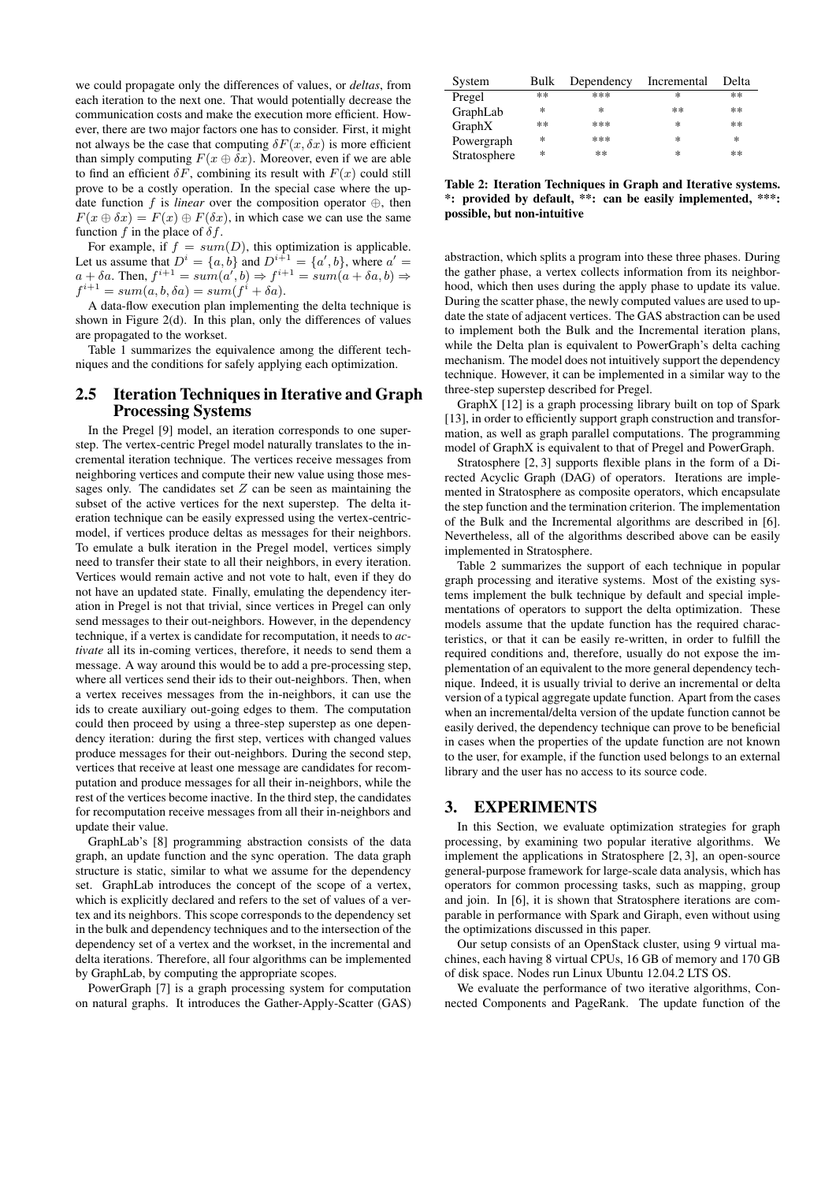we could propagate only the differences of values, or *deltas*, from each iteration to the next one. That would potentially decrease the communication costs and make the execution more efficient. However, there are two major factors one has to consider. First, it might not always be the case that computing  $\delta F(x, \delta x)$  is more efficient than simply computing  $F(x \oplus \delta x)$ . Moreover, even if we are able to find an efficient  $\delta F$ , combining its result with  $F(x)$  could still prove to be a costly operation. In the special case where the update function f is *linear* over the composition operator  $\oplus$ , then  $F(x \oplus \delta x) = F(x) \oplus F(\delta x)$ , in which case we can use the same function f in the place of  $\delta f$ .

For example, if  $f = sum(D)$ , this optimization is applicable. Let us assume that  $D^i = \{a, b\}$  and  $D^{i+1} = \{a', b\}$ , where  $a' =$  $a + \delta a$ . Then,  $f^{i+1} = sum(a', b) \Rightarrow f^{i+1} = sum(a + \delta a, b) \Rightarrow$  $f^{i+1} = sum(a, b, \delta a) = sum(f^i + \delta a).$ 

A data-flow execution plan implementing the delta technique is shown in Figure 2(d). In this plan, only the differences of values are propagated to the workset.

Table 1 summarizes the equivalence among the different techniques and the conditions for safely applying each optimization.

# 2.5 Iteration Techniques in Iterative and Graph Processing Systems

In the Pregel [9] model, an iteration corresponds to one superstep. The vertex-centric Pregel model naturally translates to the incremental iteration technique. The vertices receive messages from neighboring vertices and compute their new value using those messages only. The candidates set  $Z$  can be seen as maintaining the subset of the active vertices for the next superstep. The delta iteration technique can be easily expressed using the vertex-centricmodel, if vertices produce deltas as messages for their neighbors. To emulate a bulk iteration in the Pregel model, vertices simply need to transfer their state to all their neighbors, in every iteration. Vertices would remain active and not vote to halt, even if they do not have an updated state. Finally, emulating the dependency iteration in Pregel is not that trivial, since vertices in Pregel can only send messages to their out-neighbors. However, in the dependency technique, if a vertex is candidate for recomputation, it needs to *activate* all its in-coming vertices, therefore, it needs to send them a message. A way around this would be to add a pre-processing step, where all vertices send their ids to their out-neighbors. Then, when a vertex receives messages from the in-neighbors, it can use the ids to create auxiliary out-going edges to them. The computation could then proceed by using a three-step superstep as one dependency iteration: during the first step, vertices with changed values produce messages for their out-neighbors. During the second step, vertices that receive at least one message are candidates for recomputation and produce messages for all their in-neighbors, while the rest of the vertices become inactive. In the third step, the candidates for recomputation receive messages from all their in-neighbors and update their value.

GraphLab's [8] programming abstraction consists of the data graph, an update function and the sync operation. The data graph structure is static, similar to what we assume for the dependency set. GraphLab introduces the concept of the scope of a vertex, which is explicitly declared and refers to the set of values of a vertex and its neighbors. This scope corresponds to the dependency set in the bulk and dependency techniques and to the intersection of the dependency set of a vertex and the workset, in the incremental and delta iterations. Therefore, all four algorithms can be implemented by GraphLab, by computing the appropriate scopes.

PowerGraph [7] is a graph processing system for computation on natural graphs. It introduces the Gather-Apply-Scatter (GAS)

| System       | Bulk   | Dependency | Incremental | Delta |
|--------------|--------|------------|-------------|-------|
| Pregel       | $* *$  | ***        | ∗           | $* *$ |
| GraphLab     | ∗      | *          | $* *$       | $**$  |
| GraphX       | $* *$  | ***        | $\ast$      | $**$  |
| Powergraph   | $\ast$ | ***        | $\ast$      | ∗     |
| Stratosphere | $\ast$ | $**$       | $\ast$      | $**$  |

Table 2: Iteration Techniques in Graph and Iterative systems. \*: provided by default, \*\*: can be easily implemented, \*\*\*: possible, but non-intuitive

abstraction, which splits a program into these three phases. During the gather phase, a vertex collects information from its neighborhood, which then uses during the apply phase to update its value. During the scatter phase, the newly computed values are used to update the state of adjacent vertices. The GAS abstraction can be used to implement both the Bulk and the Incremental iteration plans, while the Delta plan is equivalent to PowerGraph's delta caching mechanism. The model does not intuitively support the dependency technique. However, it can be implemented in a similar way to the three-step superstep described for Pregel.

GraphX [12] is a graph processing library built on top of Spark [13], in order to efficiently support graph construction and transformation, as well as graph parallel computations. The programming model of GraphX is equivalent to that of Pregel and PowerGraph.

Stratosphere [2, 3] supports flexible plans in the form of a Directed Acyclic Graph (DAG) of operators. Iterations are implemented in Stratosphere as composite operators, which encapsulate the step function and the termination criterion. The implementation of the Bulk and the Incremental algorithms are described in [6]. Nevertheless, all of the algorithms described above can be easily implemented in Stratosphere.

Table 2 summarizes the support of each technique in popular graph processing and iterative systems. Most of the existing systems implement the bulk technique by default and special implementations of operators to support the delta optimization. These models assume that the update function has the required characteristics, or that it can be easily re-written, in order to fulfill the required conditions and, therefore, usually do not expose the implementation of an equivalent to the more general dependency technique. Indeed, it is usually trivial to derive an incremental or delta version of a typical aggregate update function. Apart from the cases when an incremental/delta version of the update function cannot be easily derived, the dependency technique can prove to be beneficial in cases when the properties of the update function are not known to the user, for example, if the function used belongs to an external library and the user has no access to its source code.

# 3. EXPERIMENTS

In this Section, we evaluate optimization strategies for graph processing, by examining two popular iterative algorithms. We implement the applications in Stratosphere [2, 3], an open-source general-purpose framework for large-scale data analysis, which has operators for common processing tasks, such as mapping, group and join. In [6], it is shown that Stratosphere iterations are comparable in performance with Spark and Giraph, even without using the optimizations discussed in this paper.

Our setup consists of an OpenStack cluster, using 9 virtual machines, each having 8 virtual CPUs, 16 GB of memory and 170 GB of disk space. Nodes run Linux Ubuntu 12.04.2 LTS OS.

We evaluate the performance of two iterative algorithms, Connected Components and PageRank. The update function of the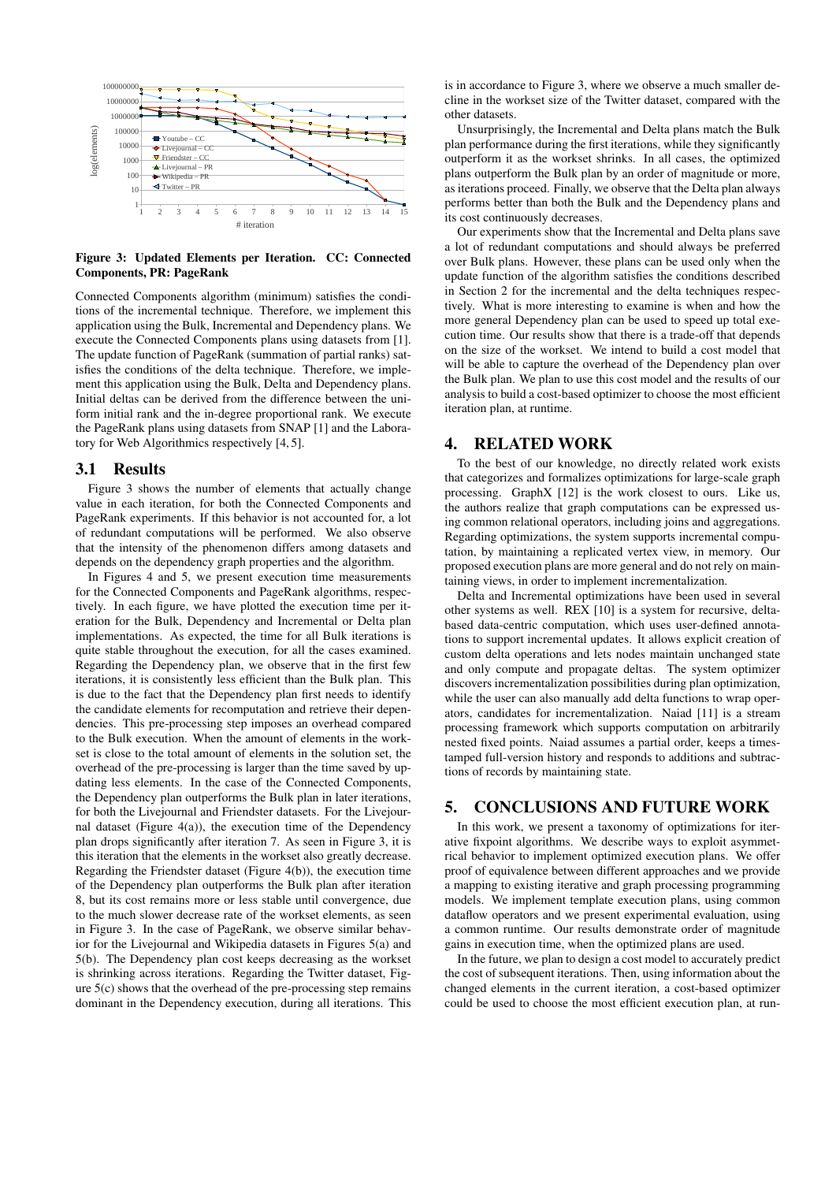

Figure 3: Updated Elements per Iteration. CC: Connected Components, PR: PageRank

Connected Components algorithm (minimum) satisfies the conditions of the incremental technique. Therefore, we implement this application using the Bulk, Incremental and Dependency plans. We execute the Connected Components plans using datasets from [1]. The update function of PageRank (summation of partial ranks) satisfies the conditions of the delta technique. Therefore, we implement this application using the Bulk, Delta and Dependency plans. Initial deltas can be derived from the difference between the uniform initial rank and the in-degree proportional rank. We execute the PageRank plans using datasets from SNAP [1] and the Laboratory for Web Algorithmics respectively [4, 5].

# 3.1 Results

Figure 3 shows the number of elements that actually change value in each iteration, for both the Connected Components and PageRank experiments. If this behavior is not accounted for, a lot of redundant computations will be performed. We also observe that the intensity of the phenomenon differs among datasets and depends on the dependency graph properties and the algorithm.

In Figures 4 and 5, we present execution time measurements for the Connected Components and PageRank algorithms, respectively. In each figure, we have plotted the execution time per iteration for the Bulk, Dependency and Incremental or Delta plan implementations. As expected, the time for all Bulk iterations is quite stable throughout the execution, for all the cases examined. Regarding the Dependency plan, we observe that in the first few iterations, it is consistently less efficient than the Bulk plan. This is due to the fact that the Dependency plan first needs to identify the candidate elements for recomputation and retrieve their dependencies. This pre-processing step imposes an overhead compared to the Bulk execution. When the amount of elements in the workset is close to the total amount of elements in the solution set, the overhead of the pre-processing is larger than the time saved by updating less elements. In the case of the Connected Components, the Dependency plan outperforms the Bulk plan in later iterations, for both the Livejournal and Friendster datasets. For the Livejournal dataset (Figure  $4(a)$ ), the execution time of the Dependency plan drops significantly after iteration 7. As seen in Figure 3, it is this iteration that the elements in the workset also greatly decrease. Regarding the Friendster dataset (Figure 4(b)), the execution time of the Dependency plan outperforms the Bulk plan after iteration 8, but its cost remains more or less stable until convergence, due to the much slower decrease rate of the workset elements, as seen in Figure 3. In the case of PageRank, we observe similar behavior for the Livejournal and Wikipedia datasets in Figures 5(a) and 5(b). The Dependency plan cost keeps decreasing as the workset is shrinking across iterations. Regarding the Twitter dataset, Figure 5(c) shows that the overhead of the pre-processing step remains dominant in the Dependency execution, during all iterations. This is in accordance to Figure 3, where we observe a much smaller decline in the workset size of the Twitter dataset, compared with the other datasets.

Unsurprisingly, the Incremental and Delta plans match the Bulk plan performance during the first iterations, while they significantly outperform it as the workset shrinks. In all cases, the optimized plans outperform the Bulk plan by an order of magnitude or more, as iterations proceed. Finally, we observe that the Delta plan always performs better than both the Bulk and the Dependency plans and its cost continuously decreases.

Our experiments show that the Incremental and Delta plans save a lot of redundant computations and should always be preferred over Bulk plans. However, these plans can be used only when the update function of the algorithm satisfies the conditions described in Section 2 for the incremental and the delta techniques respectively. What is more interesting to examine is when and how the more general Dependency plan can be used to speed up total execution time. Our results show that there is a trade-off that depends on the size of the workset. We intend to build a cost model that will be able to capture the overhead of the Dependency plan over the Bulk plan. We plan to use this cost model and the results of our analysis to build a cost-based optimizer to choose the most efficient iteration plan, at runtime.

### 4. RELATED WORK

To the best of our knowledge, no directly related work exists that categorizes and formalizes optimizations for large-scale graph processing. GraphX [12] is the work closest to ours. Like us, the authors realize that graph computations can be expressed using common relational operators, including joins and aggregations. Regarding optimizations, the system supports incremental computation, by maintaining a replicated vertex view, in memory. Our proposed execution plans are more general and do not rely on maintaining views, in order to implement incrementalization.

Delta and Incremental optimizations have been used in several other systems as well. REX [10] is a system for recursive, deltabased data-centric computation, which uses user-defined annotations to support incremental updates. It allows explicit creation of custom delta operations and lets nodes maintain unchanged state and only compute and propagate deltas. The system optimizer discovers incrementalization possibilities during plan optimization, while the user can also manually add delta functions to wrap operators, candidates for incrementalization. Naiad [11] is a stream processing framework which supports computation on arbitrarily nested fixed points. Naiad assumes a partial order, keeps a timestamped full-version history and responds to additions and subtractions of records by maintaining state.

## 5. CONCLUSIONS AND FUTURE WORK

In this work, we present a taxonomy of optimizations for iterative fixpoint algorithms. We describe ways to exploit asymmetrical behavior to implement optimized execution plans. We offer proof of equivalence between different approaches and we provide a mapping to existing iterative and graph processing programming models. We implement template execution plans, using common dataflow operators and we present experimental evaluation, using a common runtime. Our results demonstrate order of magnitude gains in execution time, when the optimized plans are used.

In the future, we plan to design a cost model to accurately predict the cost of subsequent iterations. Then, using information about the changed elements in the current iteration, a cost-based optimizer could be used to choose the most efficient execution plan, at run-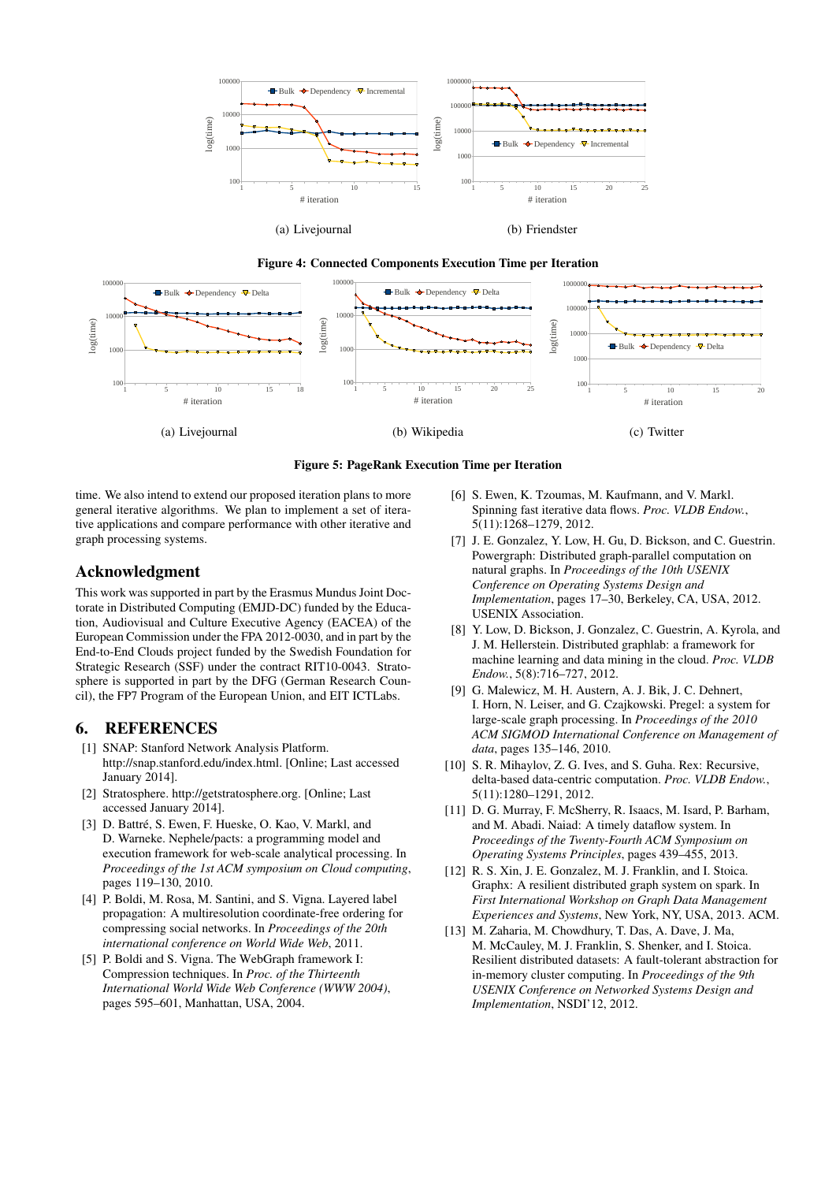![](_page_5_Figure_0.jpeg)

![](_page_5_Figure_1.jpeg)

![](_page_5_Figure_2.jpeg)

![](_page_5_Figure_3.jpeg)

time. We also intend to extend our proposed iteration plans to more general iterative algorithms. We plan to implement a set of iterative applications and compare performance with other iterative and graph processing systems.

# Acknowledgment

This work was supported in part by the Erasmus Mundus Joint Doctorate in Distributed Computing (EMJD-DC) funded by the Education, Audiovisual and Culture Executive Agency (EACEA) of the European Commission under the FPA 2012-0030, and in part by the End-to-End Clouds project funded by the Swedish Foundation for Strategic Research (SSF) under the contract RIT10-0043. Stratosphere is supported in part by the DFG (German Research Council), the FP7 Program of the European Union, and EIT ICTLabs.

# 6. REFERENCES

- [1] SNAP: Stanford Network Analysis Platform. http://snap.stanford.edu/index.html. [Online; Last accessed January 2014].
- [2] Stratosphere. http://getstratosphere.org. [Online; Last accessed January 2014].
- [3] D. Battré, S. Ewen, F. Hueske, O. Kao, V. Markl, and D. Warneke. Nephele/pacts: a programming model and execution framework for web-scale analytical processing. In *Proceedings of the 1st ACM symposium on Cloud computing*, pages 119–130, 2010.
- [4] P. Boldi, M. Rosa, M. Santini, and S. Vigna. Layered label propagation: A multiresolution coordinate-free ordering for compressing social networks. In *Proceedings of the 20th international conference on World Wide Web*, 2011.
- [5] P. Boldi and S. Vigna. The WebGraph framework I: Compression techniques. In *Proc. of the Thirteenth International World Wide Web Conference (WWW 2004)*, pages 595–601, Manhattan, USA, 2004.
- [6] S. Ewen, K. Tzoumas, M. Kaufmann, and V. Markl. Spinning fast iterative data flows. *Proc. VLDB Endow.*, 5(11):1268–1279, 2012.
- [7] J. E. Gonzalez, Y. Low, H. Gu, D. Bickson, and C. Guestrin. Powergraph: Distributed graph-parallel computation on natural graphs. In *Proceedings of the 10th USENIX Conference on Operating Systems Design and Implementation*, pages 17–30, Berkeley, CA, USA, 2012. USENIX Association.
- [8] Y. Low, D. Bickson, J. Gonzalez, C. Guestrin, A. Kyrola, and J. M. Hellerstein. Distributed graphlab: a framework for machine learning and data mining in the cloud. *Proc. VLDB Endow.*, 5(8):716–727, 2012.
- [9] G. Malewicz, M. H. Austern, A. J. Bik, J. C. Dehnert, I. Horn, N. Leiser, and G. Czajkowski. Pregel: a system for large-scale graph processing. In *Proceedings of the 2010 ACM SIGMOD International Conference on Management of data*, pages 135–146, 2010.
- [10] S. R. Mihaylov, Z. G. Ives, and S. Guha. Rex: Recursive, delta-based data-centric computation. *Proc. VLDB Endow.*, 5(11):1280–1291, 2012.
- [11] D. G. Murray, F. McSherry, R. Isaacs, M. Isard, P. Barham, and M. Abadi. Naiad: A timely dataflow system. In *Proceedings of the Twenty-Fourth ACM Symposium on Operating Systems Principles*, pages 439–455, 2013.
- [12] R. S. Xin, J. E. Gonzalez, M. J. Franklin, and I. Stoica. Graphx: A resilient distributed graph system on spark. In *First International Workshop on Graph Data Management Experiences and Systems*, New York, NY, USA, 2013. ACM.
- [13] M. Zaharia, M. Chowdhury, T. Das, A. Dave, J. Ma, M. McCauley, M. J. Franklin, S. Shenker, and I. Stoica. Resilient distributed datasets: A fault-tolerant abstraction for in-memory cluster computing. In *Proceedings of the 9th USENIX Conference on Networked Systems Design and Implementation*, NSDI'12, 2012.